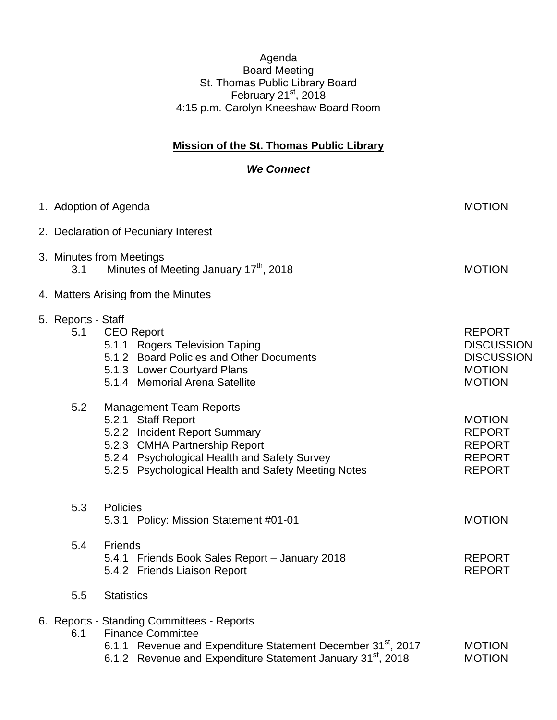## Agenda Board Meeting St. Thomas Public Library Board February 21 $\mathrm{^{st}}$ , 2018 4:15 p.m. Carolyn Kneeshaw Board Room

## **Mission of the St. Thomas Public Library**

## *We Connect*

|  | 1. Adoption of Agenda                                                                 |                                                                                                                                                                                                                               | <b>MOTION</b>                                                                             |  |
|--|---------------------------------------------------------------------------------------|-------------------------------------------------------------------------------------------------------------------------------------------------------------------------------------------------------------------------------|-------------------------------------------------------------------------------------------|--|
|  |                                                                                       | 2. Declaration of Pecuniary Interest                                                                                                                                                                                          |                                                                                           |  |
|  | 3. Minutes from Meetings<br>Minutes of Meeting January 17 <sup>th</sup> , 2018<br>3.1 |                                                                                                                                                                                                                               | <b>MOTION</b>                                                                             |  |
|  | 4. Matters Arising from the Minutes                                                   |                                                                                                                                                                                                                               |                                                                                           |  |
|  | 5. Reports - Staff<br>5.1                                                             | <b>CEO Report</b><br>5.1.1 Rogers Television Taping<br>5.1.2 Board Policies and Other Documents<br>5.1.3 Lower Courtyard Plans<br>5.1.4 Memorial Arena Satellite                                                              | <b>REPORT</b><br><b>DISCUSSION</b><br><b>DISCUSSION</b><br><b>MOTION</b><br><b>MOTION</b> |  |
|  | 5.2                                                                                   | <b>Management Team Reports</b><br>5.2.1 Staff Report<br>5.2.2 Incident Report Summary<br>5.2.3 CMHA Partnership Report<br>5.2.4 Psychological Health and Safety Survey<br>5.2.5 Psychological Health and Safety Meeting Notes | <b>MOTION</b><br><b>REPORT</b><br><b>REPORT</b><br><b>REPORT</b><br><b>REPORT</b>         |  |
|  | 5.3                                                                                   | Policies<br>5.3.1 Policy: Mission Statement #01-01                                                                                                                                                                            | <b>MOTION</b>                                                                             |  |
|  | 5.4                                                                                   | Friends<br>5.4.1 Friends Book Sales Report - January 2018<br>5.4.2 Friends Liaison Report                                                                                                                                     | <b>REPORT</b><br><b>REPORT</b>                                                            |  |
|  | 5.5                                                                                   | <b>Statistics</b>                                                                                                                                                                                                             |                                                                                           |  |
|  | 6.1                                                                                   | 6. Reports - Standing Committees - Reports<br><b>Finance Committee</b><br>6.1.1 Revenue and Expenditure Statement December 31 <sup>st</sup> , 2017<br>6.1.2 Revenue and Expenditure Statement January 31 <sup>st</sup> , 2018 | <b>MOTION</b><br><b>MOTION</b>                                                            |  |